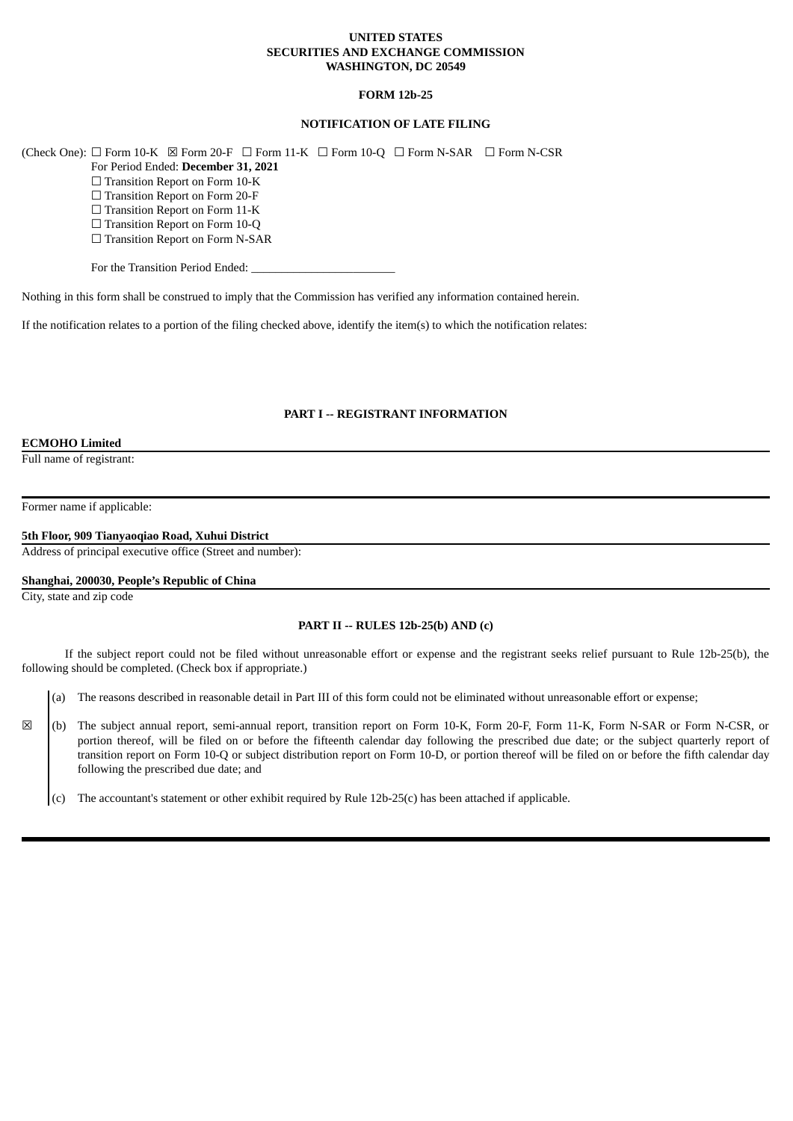## **UNITED STATES SECURITIES AND EXCHANGE COMMISSION WASHINGTON, DC 20549**

## **FORM 12b-25**

# **NOTIFICATION OF LATE FILING**

(Check One):  $\Box$  Form 10-K  $\boxtimes$  Form 20-F  $\Box$  Form 11-K  $\Box$  Form 10-Q  $\Box$  Form N-SAR  $\Box$  Form N-CSR

For Period Ended: **December 31, 2021**

□ Transition Report on Form 10-K

☐ Transition Report on Form 20-F

□ Transition Report on Form 11-K

☐ Transition Report on Form 10-Q

□ Transition Report on Form N-SAR

For the Transition Period Ended:

Nothing in this form shall be construed to imply that the Commission has verified any information contained herein.

If the notification relates to a portion of the filing checked above, identify the item(s) to which the notification relates:

## **PART I -- REGISTRANT INFORMATION**

#### **ECMOHO Limited**

Full name of registrant:

Former name if applicable:

**5th Floor, 909 Tianyaoqiao Road, Xuhui District**

Address of principal executive office (Street and number):

# **Shanghai, 200030, People's Republic of China**

City, state and zip code

## **PART II -- RULES 12b-25(b) AND (c)**

If the subject report could not be filed without unreasonable effort or expense and the registrant seeks relief pursuant to Rule 12b-25(b), the following should be completed. (Check box if appropriate.)

(a) The reasons described in reasonable detail in Part III of this form could not be eliminated without unreasonable effort or expense;

☒ (b) The subject annual report, semi-annual report, transition report on Form 10-K, Form 20-F, Form 11-K, Form N-SAR or Form N-CSR, or portion thereof, will be filed on or before the fifteenth calendar day following the prescribed due date; or the subject quarterly report of transition report on Form 10-Q or subject distribution report on Form 10-D, or portion thereof will be filed on or before the fifth calendar day following the prescribed due date; and

(c) The accountant's statement or other exhibit required by Rule 12b-25(c) has been attached if applicable.